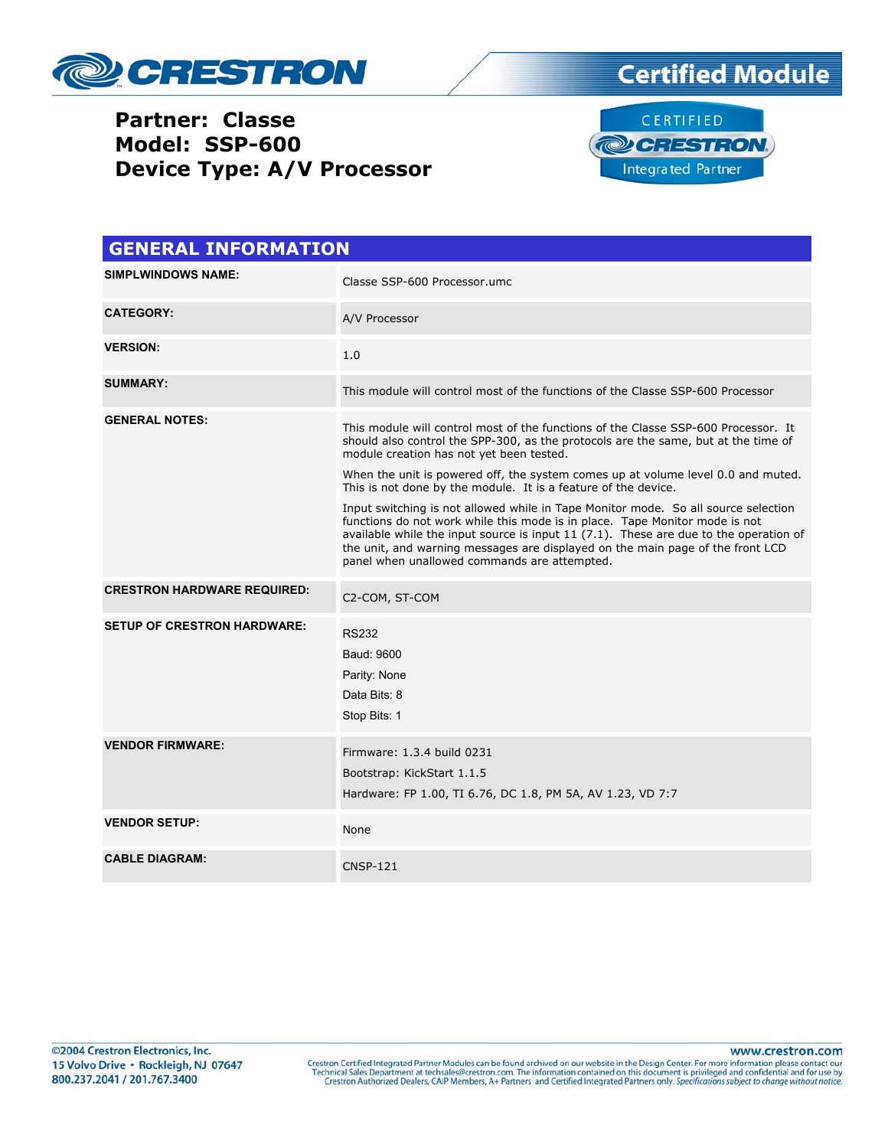

## **Partner: Classe Model: SSP-600 Device Type: A/V Processor**





| <b>GENERAL INFORMATION</b>         |                                                                                                                                                                                                                                                                                                                                                                                                 |  |  |
|------------------------------------|-------------------------------------------------------------------------------------------------------------------------------------------------------------------------------------------------------------------------------------------------------------------------------------------------------------------------------------------------------------------------------------------------|--|--|
| <b>SIMPLWINDOWS NAME:</b>          | Classe SSP-600 Processor.umc                                                                                                                                                                                                                                                                                                                                                                    |  |  |
| <b>CATEGORY:</b>                   | A/V Processor                                                                                                                                                                                                                                                                                                                                                                                   |  |  |
| <b>VERSION:</b>                    | 1.0                                                                                                                                                                                                                                                                                                                                                                                             |  |  |
| <b>SUMMARY:</b>                    | This module will control most of the functions of the Classe SSP-600 Processor                                                                                                                                                                                                                                                                                                                  |  |  |
| <b>GENERAL NOTES:</b>              | This module will control most of the functions of the Classe SSP-600 Processor. It<br>should also control the SPP-300, as the protocols are the same, but at the time of<br>module creation has not yet been tested.<br>When the unit is powered off, the system comes up at volume level 0.0 and muted.<br>This is not done by the module. It is a feature of the device.                      |  |  |
|                                    | Input switching is not allowed while in Tape Monitor mode. So all source selection<br>functions do not work while this mode is in place. Tape Monitor mode is not<br>available while the input source is input 11 $(7.1)$ . These are due to the operation of<br>the unit, and warning messages are displayed on the main page of the front LCD<br>panel when unallowed commands are attempted. |  |  |
| <b>CRESTRON HARDWARE REQUIRED:</b> | C2-COM, ST-COM                                                                                                                                                                                                                                                                                                                                                                                  |  |  |
| <b>SETUP OF CRESTRON HARDWARE:</b> | <b>RS232</b><br>Baud: 9600<br>Parity: None<br>Data Bits: 8<br>Stop Bits: 1                                                                                                                                                                                                                                                                                                                      |  |  |
| <b>VENDOR FIRMWARE:</b>            | Firmware: 1.3.4 build 0231<br>Bootstrap: KickStart 1.1.5<br>Hardware: FP 1.00, TI 6.76, DC 1.8, PM 5A, AV 1.23, VD 7:7                                                                                                                                                                                                                                                                          |  |  |
| <b>VENDOR SETUP:</b>               | None                                                                                                                                                                                                                                                                                                                                                                                            |  |  |
| <b>CABLE DIAGRAM:</b>              | <b>CNSP-121</b>                                                                                                                                                                                                                                                                                                                                                                                 |  |  |

www.crestron.com Crestron Certified Integrated Partner Modules can be found archived on our website in the Design Center. For more information please contact our Technical Sales Department at techsales@crestron.com. The information contain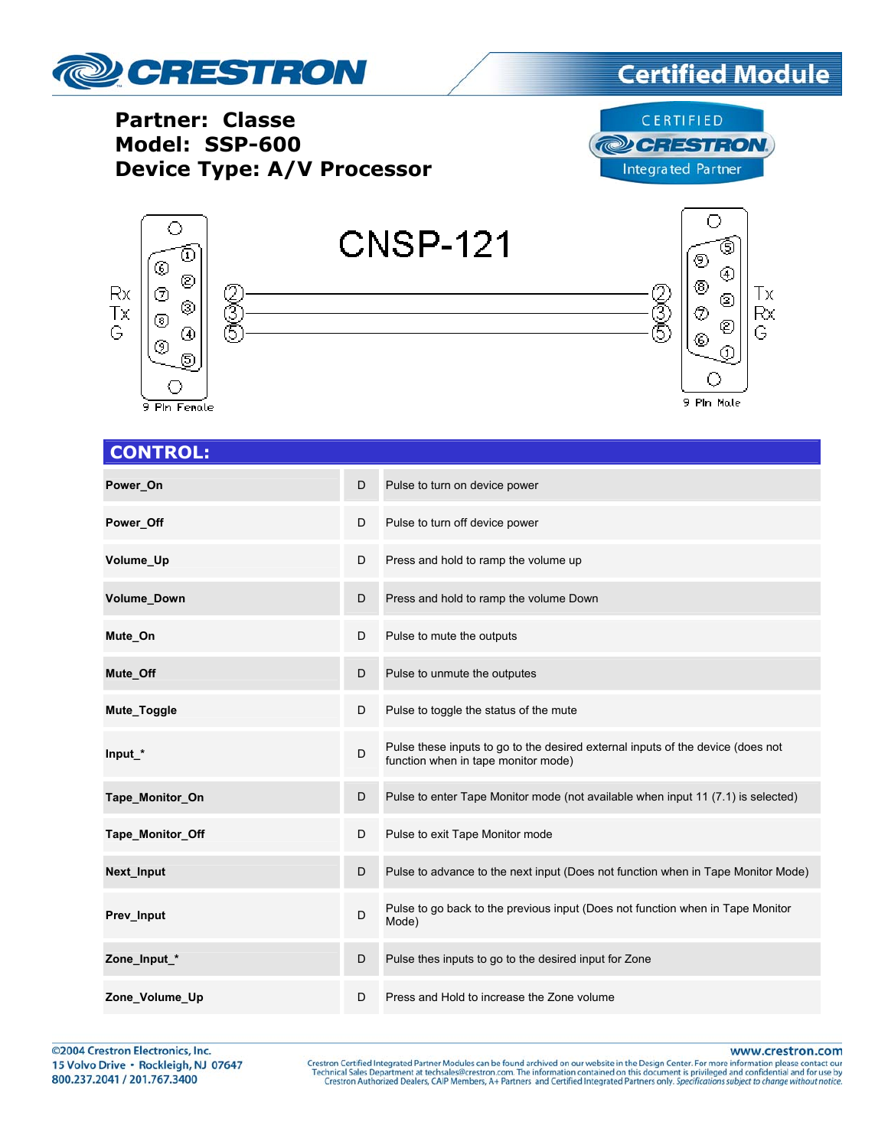

## **Certified Module**

**Partner: Classe** Model: SSP-600 **Device Type: A/V Processor** 

CERTIFIED **@CRESTRON Integrated Partner** 



| <b>CONTROL:</b>  |   |                                                                                                                        |
|------------------|---|------------------------------------------------------------------------------------------------------------------------|
| Power_On         | D | Pulse to turn on device power                                                                                          |
| Power_Off        | D | Pulse to turn off device power                                                                                         |
| Volume_Up        | D | Press and hold to ramp the volume up                                                                                   |
| Volume_Down      | D | Press and hold to ramp the volume Down                                                                                 |
| Mute_On          | D | Pulse to mute the outputs                                                                                              |
| Mute_Off         | D | Pulse to unmute the outputes                                                                                           |
| Mute_Toggle      | D | Pulse to toggle the status of the mute                                                                                 |
| Input *          | D | Pulse these inputs to go to the desired external inputs of the device (does not<br>function when in tape monitor mode) |
| Tape_Monitor_On  | D | Pulse to enter Tape Monitor mode (not available when input 11 (7.1) is selected)                                       |
| Tape_Monitor_Off | D | Pulse to exit Tape Monitor mode                                                                                        |
| Next_Input       | D | Pulse to advance to the next input (Does not function when in Tape Monitor Mode)                                       |
| Prev Input       | D | Pulse to go back to the previous input (Does not function when in Tape Monitor<br>Mode)                                |
| Zone Input *     | D | Pulse thes inputs to go to the desired input for Zone                                                                  |
| Zone_Volume_Up   | D | Press and Hold to increase the Zone volume                                                                             |

©2004 Crestron Electronics, Inc. 15 Volvo Drive · Rockleigh, NJ 07647 800.237.2041 / 201.767.3400

www.crestron.com

Crestron Certified Integrated Partner Modules can be found archived on our website in the Design Center. For more information please contact our Technical Sales Department at techsales@crestron.com. The information contain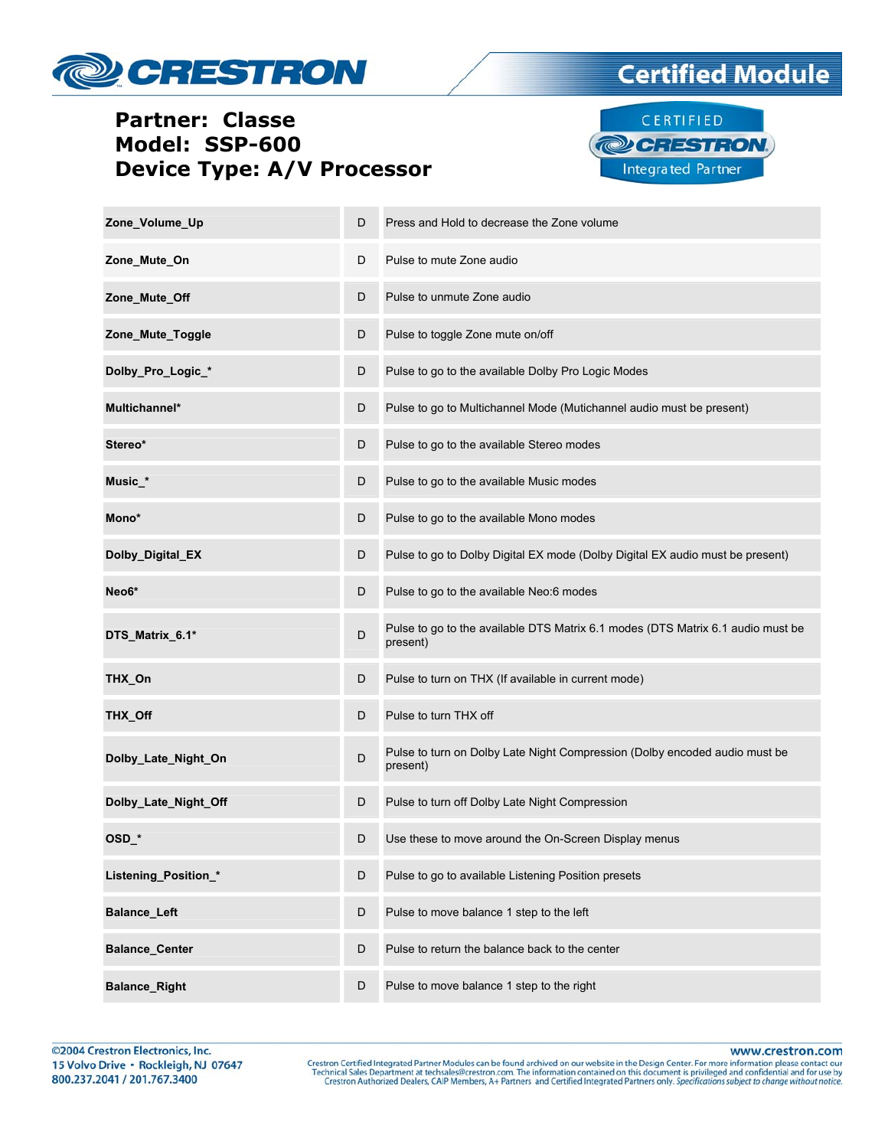

## **Partner: Classe Model: SSP-600 Device Type: A/V Processor**



**Certified Module** 

| Zone_Volume_Up        | D | Press and Hold to decrease the Zone volume                                                  |
|-----------------------|---|---------------------------------------------------------------------------------------------|
| Zone_Mute_On          | D | Pulse to mute Zone audio                                                                    |
| Zone_Mute_Off         | D | Pulse to unmute Zone audio                                                                  |
| Zone_Mute_Toggle      | D | Pulse to toggle Zone mute on/off                                                            |
| Dolby_Pro_Logic_*     | D | Pulse to go to the available Dolby Pro Logic Modes                                          |
| Multichannel*         | D | Pulse to go to Multichannel Mode (Mutichannel audio must be present)                        |
| Stereo*               | D | Pulse to go to the available Stereo modes                                                   |
| Music_*               | D | Pulse to go to the available Music modes                                                    |
| Mono*                 | D | Pulse to go to the available Mono modes                                                     |
| Dolby_Digital_EX      | D | Pulse to go to Dolby Digital EX mode (Dolby Digital EX audio must be present)               |
| Neo6*                 | D | Pulse to go to the available Neo:6 modes                                                    |
| DTS_Matrix_6.1*       | D | Pulse to go to the available DTS Matrix 6.1 modes (DTS Matrix 6.1 audio must be<br>present) |
| THX_On                | D | Pulse to turn on THX (If available in current mode)                                         |
| THX_Off               | D | Pulse to turn THX off                                                                       |
| Dolby_Late_Night_On   | D | Pulse to turn on Dolby Late Night Compression (Dolby encoded audio must be<br>present)      |
| Dolby_Late_Night_Off  | D | Pulse to turn off Dolby Late Night Compression                                              |
| OSD *                 | D | Use these to move around the On-Screen Display menus                                        |
| Listening_Position_*  | D | Pulse to go to available Listening Position presets                                         |
| <b>Balance_Left</b>   | D | Pulse to move balance 1 step to the left                                                    |
| <b>Balance_Center</b> | D | Pulse to return the balance back to the center                                              |
| <b>Balance_Right</b>  | D | Pulse to move balance 1 step to the right                                                   |

www.crestron.com

Crestron Certified Integrated Partner Modules can be found archived on our website in the Design Center. For more information please contact our Technical Sales Department at techsales@crestron.com. The information contain